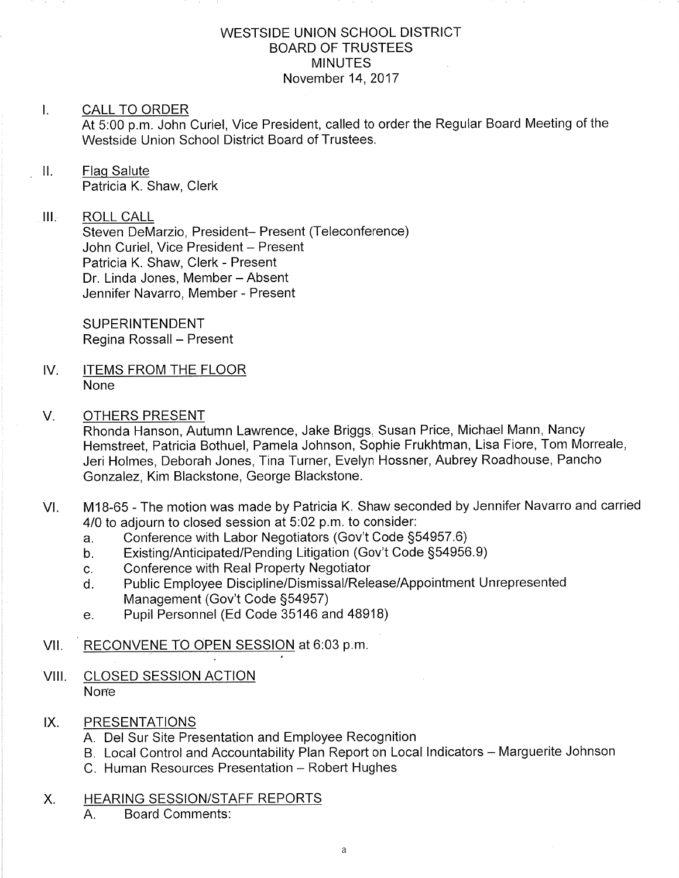## WESTSIDE UNION SCHOOL DISTRICT BOARD OF TRUSTEES **MINUTES** November 14,2017

## I. CALL TO ORDER

At 5:00 p.m. John Curiel, Vice President, called to order the Regular Board Meeting of the Westside Union School District Board of Trustees.

## ll. Flaq Salute

Patricia K. Shaw, Clerk

## III. ROLL CALL

Steven DeMarzio, President- Present (Teleconference) John Curiel, Vice President - Present Patricia K. Shaw, Clerk - Present Dr. Linda Jones, Member - Absent Jennifer Navarro, Member - Present

**SUPERINTENDENT** Regina Rossall - Present

IV. ITEMS FROM THE FLOOR None

## V. OTHERS PRESENT

Rhonda Hanson, Autumn Lawrence, Jake Briggs, Susan Price, Michael Mann, Nancy Hemstreet, Patricia Bothuel, Pamela Johnson, Sophie Frukhtman, Lisa Fiore, Tom Morreale, Jeri Holmes, Deborah Jones, Tina Turner, Evelyn Hossner, Aubrey Roadhouse, Pancho Gonzalez, Kim Blackstone, George Blackstone.

- VI. M18-65 The motion was made by Patricia K. Shaw seconded by Jennifer Navarro and carried 4/0 to adjourn to closed session at  $5.02$  p.m. to consider:<br>a. Conference with Labor Negotiators (Gov't Code §54957.6)
	-
	- a. Conference with Labor Negotiators (Gov't Code §54957.6)<br>b. Existing/Anticipated/Pending Litigation (Gov't Code §54956.9)<br>c. Conference with Real Property Negotiator
	-
	- c. Conference with Real Property Negotiator<br>d. Public Employee Discipline/Dismissal/Release/Appointment Unrepresented Management (Gov't Code S54957)
	- e. Pupil Personnel (Ed Code 35146 and 48918)

## VII. RECONVENE TO OPEN SESSION at 6:03 p.m.

VIII. CLOSED SESSION ACTION **None** 

## IX. PRESENTATIONS

- A Del Sur Site Presentation and Employee Recognition
- B. Local Control and Accountability Plan Report on Local Indicators Marguerite Johnson
- C. Human Resources Presentation Robert Hughes
- X. HEARING SESSION/STAFF REPORTS
	- A. Board Comments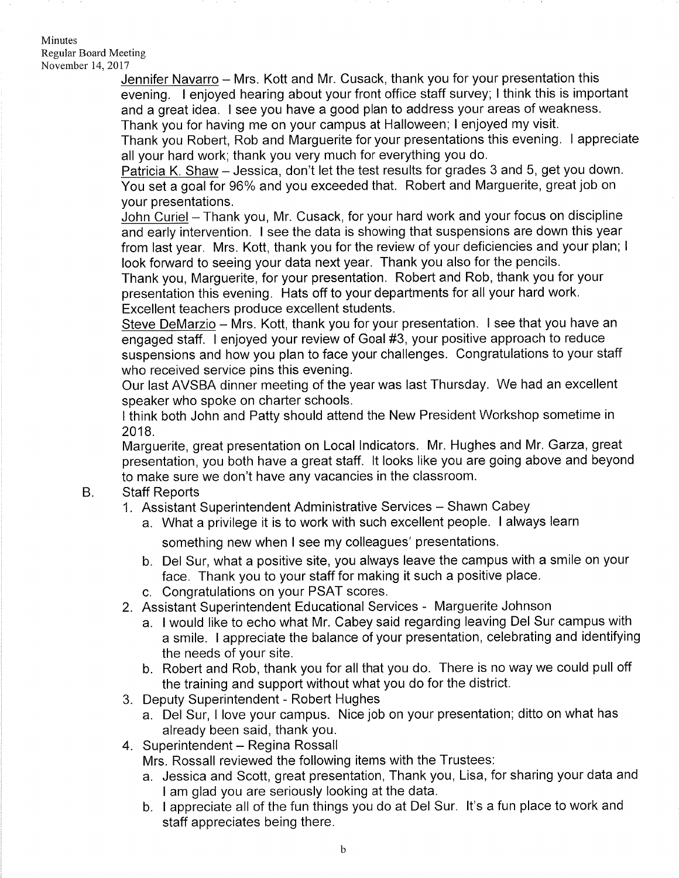### Minutes Regular Board Meeting November 14,2011

Jennifer Navarro - Mrs. Kott and Mr. Cusack, thank you for your presentation this evening. I enjoyed hearing about your front office staff survey; I think this is impoftant and a great idea. I see you have a good plan to address your areas of weakness. Thank you for having me on your campus at Halloween; I enjoyed my visit.

Thank you Robert, Rob and Marguerite for your presentations this evening. I appreciate all your hard work; thank you very much for everything you do.

Patricia K. Shaw - Jessica, don't let the test results for grades 3 and 5, get you down. You set a goal for 96% and you exceeded that. Robert and Marguerite, great job on your presentations.

John Curiel - Thank you, Mr. Cusack, for your hard work and your focus on discipline and early intervention. I see the data is showing that suspensions are down this year from last year. Mrs. Kott, thank you for the review of your deficiencies and your plan; <sup>I</sup> look forward to seeing your data next year. Thank you also for the pencils.

Thank you, Marguerite, for your presentation. Robert and Rob, thank you for your presentation this evening. Hats off to your departments for all your hard work. Excellent teachers produce excellent students.

Steve DeMarzio - Mrs. Kott, thank you for your presentation. I see that you have an engaged staff. I enjoyed your review of Goal #3, your positive approach to reduce suspensions and how you plan to face your challenges. Congratulations to your staff who received service pins this evening.

Our last AVSBA dinner meeting of the year was last Thursday. We had an excellent speaker who spoke on charter schools.

I think both John and Patty should attend the New President Workshop sometime in 2018.

Marguerite, great presentation on Local lndicators. Mr. Hughes and Mr. Garza, great presentation, you both have a great staff. lt looks like you are going above and beyond to make sure we don't have any vacancies in the classroom.

#### Staff Reports B.

- 1. Assistant Superintendent Administrative Services Shawn Cabey
	- a. What a privilege it is to work with such excellent people. I always learn

something new when I see my colleagues' presentations.

- b. Del Sur, what a positive site, you always leave the campus with a smile on your face. Thank you to your staff for making it such a positive place.
- c. Congratulations on your PSAT scores.
- 2. Assistant Superintendent Educational Services Marguerite Johnson
	- a. I would like to echo what Mr. Cabey said regarding leaving Del Sur campus with a smile. I appreciate the balance of your presentation, celebrating and identifying the needs of your site.
	- b. Robert and Rob, thank you for all that you do. There is no way we could pull off the training and supporl without what you do for the district.
- 3. Deputy Superintendent Robert Hughes
	- a. Del Sur, I love your campus. Nice job on your presentation; ditto on what has already been said, thank you.
- 4. Superintendent Regina Rossall

Mrs. Rossall reviewed the following items with the Trustees.

- a. Jessica and Scott, great presentation, Thank you, Lisa, for sharing your data and <sup>I</sup>am glad you are seriously looking at the data.
- b. I appreciate all of the fun things you do at Del Sur. lt's a fun place to work and staff appreciates being there.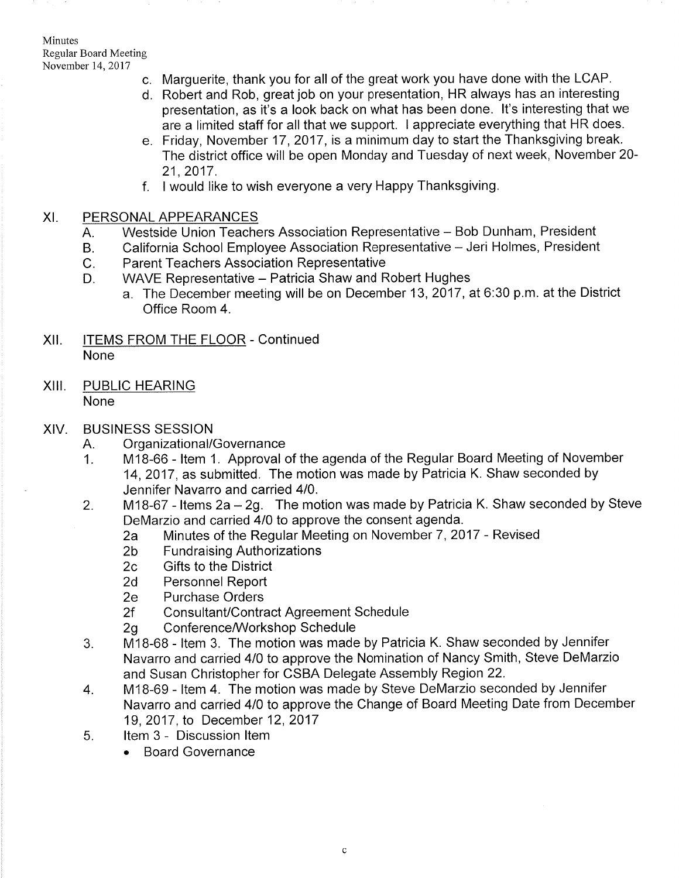Minutes Regular Board Meeting November 14,2011

- c. Marguerite, thank you for all of the great work you have done with the LCAP.
- d Robert and Rob, great job on your presentation, HR always has an interesting presentation, as it's a look back on what has been done. lt's interesting that we are a limited staff for all that we support. I appreciate everything that HR does.
- e. Friday, November 17, 2017, is a minimum day to start the Thanksgiving break The district office will be open Monday and Tuesday of next week, November 20- 21,2017.
- f. I would like to wish everyone a very Happy Thanksgiving

## XI. PERSONAL APPEARANCES

- A. Westside Union Teachers Association Representative - Bob Dunham, President
- B. California School Employee Association Representative - Jeri Holmes, President
- $C<sub>1</sub>$ Parent Teachers Association Representative
- $D_{\cdot}$ WAVE Representative - Patricia Shaw and Robert Hughes
	- a. The December meeting will be on December 13, 2017 , at 6:30 p.m. at the District Office Room 4.
- XII. **ITEMS FROM THE FLOOR Continued** None
- XIII. PUBLIC HEARING None

## XIV. BUSINESS SESSION

- 
- A. Organizational/Governance<br>1. M18-66 Item 1. Approval of the agenda of the Regular Board Meeting of November 14,2017, as submitted. The motion was made by Patricia K. Shaw seconded by Jennifer Navarro and carried 410.
- 2. M18-67 ltems 2a-29. The motion was made by Patricia K. Shaw seconded by Steve
	- DeMarzio and carried 4/0 to approve the consent agenda.<br>
	2a Minutes of the Regular Meeting on November 7, 2017 Revised<br>
	2b Fundraising Authorizations<br>
	2c Gifts to the District
	-
	-
	-
	- 2d Personnel Report<br>2e Purchase Orders
	-
	-
- 2f Consultant/Contract Agreement Schedule<br>2g Conference/Workshop Schedule<br>3. M18-68 Item 3. The motion was made by Patricia K. Shaw seconded by Jennifer Navarro and carried 410 to approve the Nomination of Nancy Smith, Steve DeMarzio and Susan Christopher for CSBA Delegate Assembly Region 22. 4. M18-69 - ltem 4. The motion was made by Steve DeMarzio seconded by Jennifer
- Navarro and carried 410 to approve the Change of Board Meeting Date from December 19,2017, to December 12,2017 5. ltem 3 - Discussion ltem
- - . Board Governance